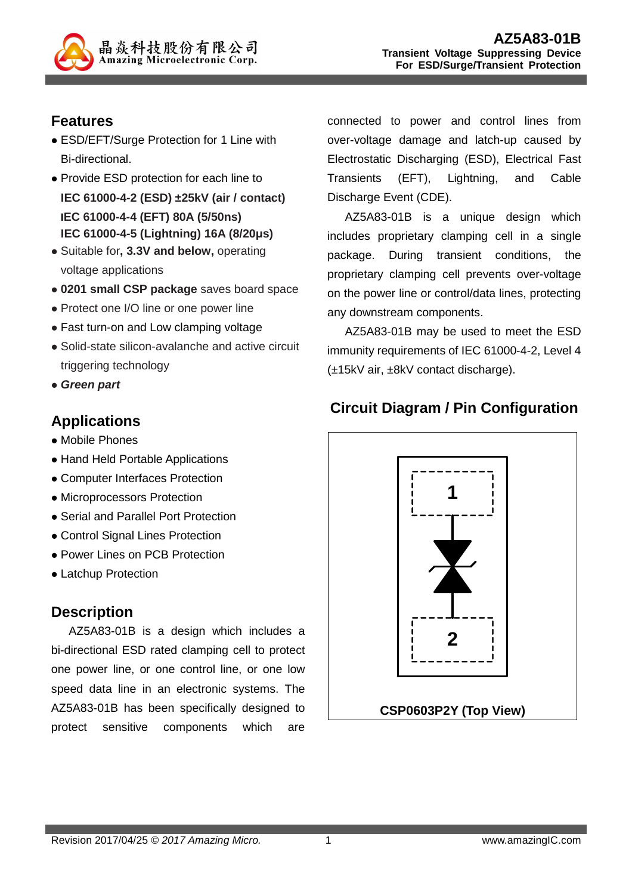

# **Features**

- ESD/EFT/Surge Protection for 1 Line with Bi-directional.
- Provide ESD protection for each line to **IEC 61000-4-2 (ESD) ±25kV (air / contact) IEC 61000-4-4 (EFT) 80A (5/50ns) IEC 61000-4-5 (Lightning) 16A (8/20µs)**
- Suitable for**, 3.3V and below,** operating voltage applications
- **0201 small CSP package** saves board space
- Protect one I/O line or one power line
- Fast turn-on and Low clamping voltage
- Solid-state silicon-avalanche and active circuit triggering technology
- **Green part**

# **Applications**

- Mobile Phones
- Hand Held Portable Applications
- Computer Interfaces Protection
- Microprocessors Protection
- Serial and Parallel Port Protection
- Control Signal Lines Protection
- Power Lines on PCB Protection
- Latchup Protection

# **Description**

AZ5A83-01B is a design which includes a bi-directional ESD rated clamping cell to protect one power line, or one control line, or one low speed data line in an electronic systems. The AZ5A83-01B has been specifically designed to protect sensitive components which are connected to power and control lines from over-voltage damage and latch-up caused by Electrostatic Discharging (ESD), Electrical Fast Transients (EFT), Lightning, and Cable Discharge Event (CDE).

AZ5A83-01B is a unique design which includes proprietary clamping cell in a single package. During transient conditions, the proprietary clamping cell prevents over-voltage on the power line or control/data lines, protecting any downstream components.

AZ5A83-01B may be used to meet the ESD immunity requirements of IEC 61000-4-2, Level 4 (±15kV air, ±8kV contact discharge).

# **Circuit Diagram / Pin Configuration**

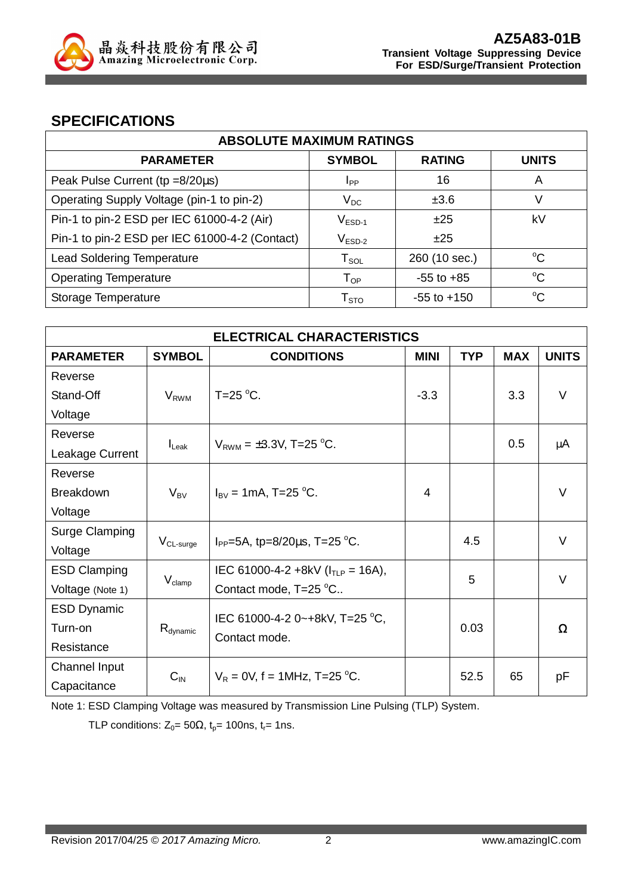

## **SPECIFICATIONS**

| <b>ABSOLUTE MAXIMUM RATINGS</b>                |                        |                 |              |
|------------------------------------------------|------------------------|-----------------|--------------|
| <b>PARAMETER</b>                               | <b>SYMBOL</b>          | <b>RATING</b>   | <b>UNITS</b> |
| Peak Pulse Current (tp =8/20µs)                | <b>I</b> <sub>PP</sub> | 16              | A            |
| Operating Supply Voltage (pin-1 to pin-2)      | $V_{DC}$               | ±3.6            | V            |
| Pin-1 to pin-2 ESD per IEC 61000-4-2 (Air)     | $V_{ESD-1}$            | ±25             | kV           |
| Pin-1 to pin-2 ESD per IEC 61000-4-2 (Contact) | $V_{ESD-2}$            | ±25             |              |
| <b>Lead Soldering Temperature</b>              | $T_{\texttt{SOL}}$     | 260 (10 sec.)   | $^{\circ}C$  |
| <b>Operating Temperature</b>                   | $T_{OP}$               | $-55$ to $+85$  | $^{\circ}C$  |
| Storage Temperature                            | ${\sf T}_{\text{STO}}$ | $-55$ to $+150$ | $^{\circ}C$  |

| <b>ELECTRICAL CHARACTERISTICS</b> |                       |                                                              |        |      |     |              |
|-----------------------------------|-----------------------|--------------------------------------------------------------|--------|------|-----|--------------|
| <b>PARAMETER</b>                  | <b>SYMBOL</b>         | <b>CONDITIONS</b><br><b>MINI</b><br><b>TYP</b><br><b>MAX</b> |        |      |     | <b>UNITS</b> |
| Reverse                           |                       |                                                              |        |      |     |              |
| Stand-Off                         | $V_{RWM}$             | T=25 $\mathrm{^{\circ}C}$ .                                  | $-3.3$ |      | 3.3 | $\vee$       |
| Voltage                           |                       |                                                              |        |      |     |              |
| Reverse                           |                       |                                                              |        |      | 0.5 |              |
| Leakage Current                   | $I_{\text{Leak}}$     | $V_{RWM} = \pm 3.3V$ , T=25 °C.                              |        |      |     | μA           |
| Reverse                           |                       |                                                              |        |      |     |              |
| <b>Breakdown</b>                  | $V_{BV}$              | $I_{\text{BV}} = 1 \text{mA}$ , T=25 °C.                     | 4      |      |     | $\vee$       |
| Voltage                           |                       |                                                              |        |      |     |              |
| Surge Clamping                    |                       |                                                              |        |      |     | $\vee$       |
| Voltage                           | V <sub>CL-surge</sub> | $I_{PP}$ =5A, tp=8/20 $\mu$ s, T=25 °C.                      |        | 4.5  |     |              |
| <b>ESD Clamping</b>               |                       | IEC 61000-4-2 +8kV ( $I_{TLP}$ = 16A),                       |        | 5    |     | $\vee$       |
| Voltage (Note 1)                  | $V_{\text{clamp}}$    | Contact mode, T=25 °C                                        |        |      |     |              |
| <b>ESD Dynamic</b>                |                       | IEC 61000-4-2 0~+8kV, T=25 °C,                               |        |      |     |              |
| Turn-on                           | $R_{\text{dynamic}}$  | Contact mode.                                                |        | 0.03 |     | Ω            |
| Resistance                        |                       |                                                              |        |      |     |              |
| Channel Input                     |                       |                                                              |        |      |     |              |
| Capacitance                       | $C_{IN}$              | $V_R = 0V$ , f = 1MHz, T=25 °C.                              |        | 52.5 | 65  | рF           |

Note 1: ESD Clamping Voltage was measured by Transmission Line Pulsing (TLP) System.

TLP conditions:  $Z_0 = 50\Omega$ ,  $t_p = 100$ ns,  $t_r = 1$ ns.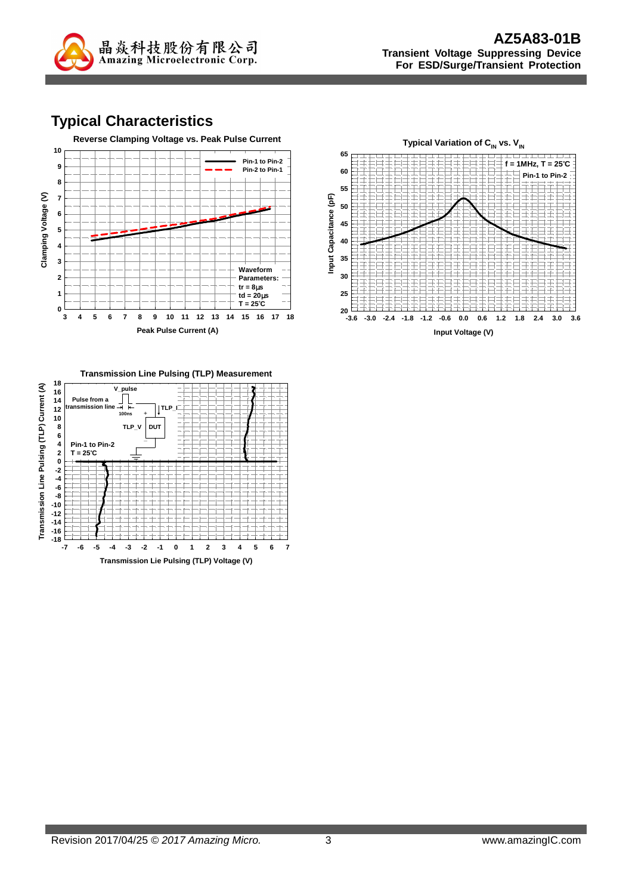

# **Typical Characteristics**





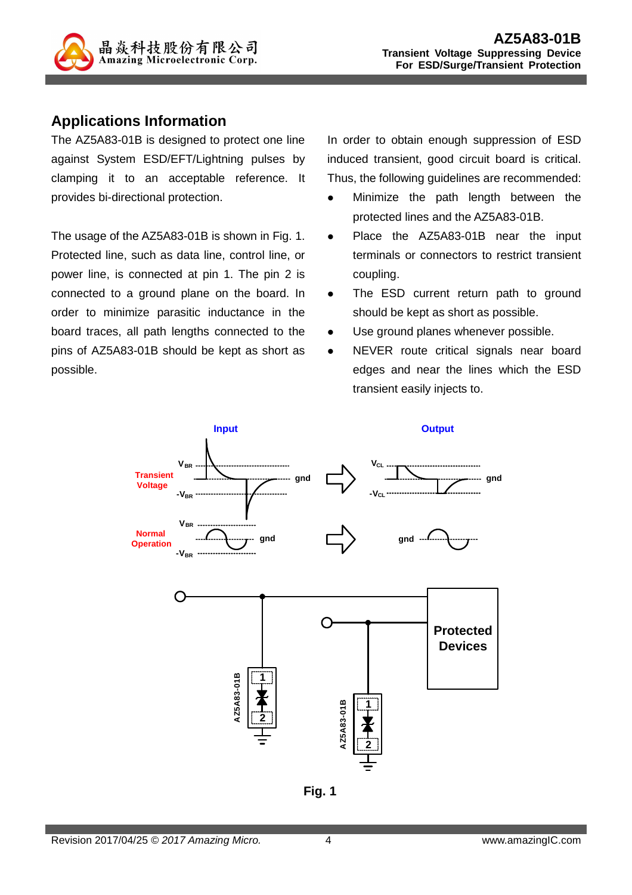

## **Applications Information**

The AZ5A83-01B is designed to protect one line against System ESD/EFT/Lightning pulses by clamping it to an acceptable reference. It provides bi-directional protection.

The usage of the AZ5A83-01B is shown in Fig. 1. Protected line, such as data line, control line, or power line, is connected at pin 1. The pin 2 is connected to a ground plane on the board. In order to minimize parasitic inductance in the board traces, all path lengths connected to the pins of AZ5A83-01B should be kept as short as possible.

In order to obtain enough suppression of ESD induced transient, good circuit board is critical. Thus, the following guidelines are recommended:

- Minimize the path length between the protected lines and the AZ5A83-01B.
- Place the AZ5A83-01B near the input terminals or connectors to restrict transient coupling.
- The ESD current return path to ground should be kept as short as possible.
- Use ground planes whenever possible.
- NEVER route critical signals near board edges and near the lines which the ESD transient easily injects to.



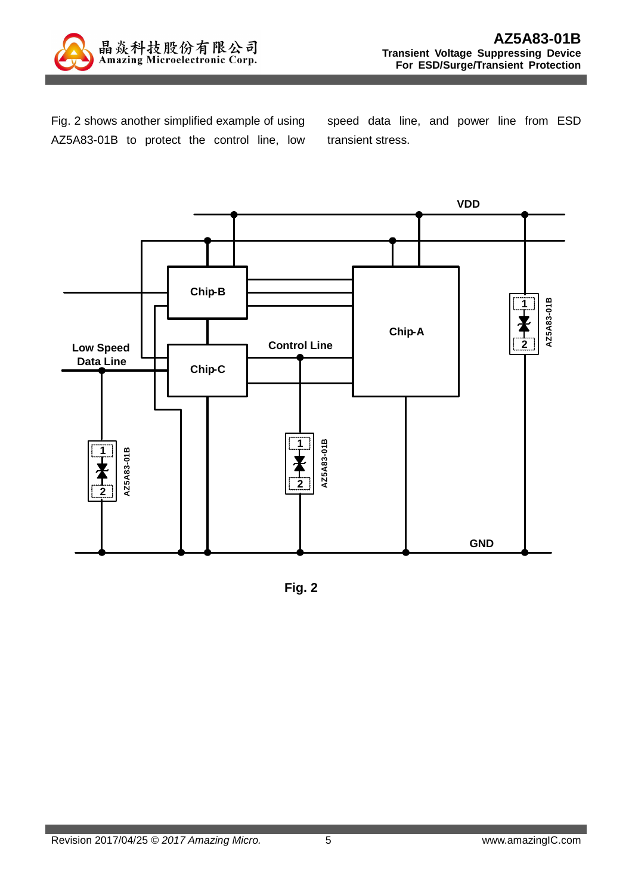

Fig. 2 shows another simplified example of using AZ5A83-01B to protect the control line, low speed data line, and power line from ESD transient stress.



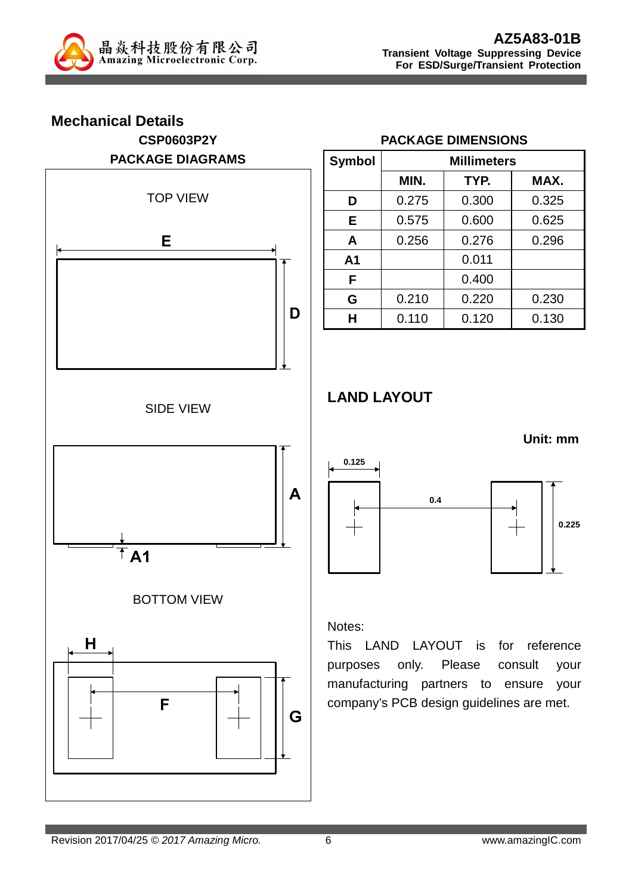

# **Mechanical Details CSP0603P2Y PACKAGE DIAGRAMS**  TOP VIEW **E D** SIDE VIEW  $\mathbf{A}$  $\overline{A1}$ BOTTOM VIEW  $H$ F G

### **PACKAGE DIMENSIONS**

| <b>Symbol</b>  | <b>Millimeters</b> |       |       |
|----------------|--------------------|-------|-------|
|                | MIN.               | TYP.  | MAX.  |
| D              | 0.275              | 0.300 | 0.325 |
| E              | 0.575              | 0.600 | 0.625 |
| A              | 0.256              | 0.276 | 0.296 |
| A <sub>1</sub> |                    | 0.011 |       |
| F              |                    | 0.400 |       |
| G              | 0.210              | 0.220 | 0.230 |
| н              | 0.110              | 0.120 | 0.130 |

# **LAND LAYOUT**



#### Notes:

This LAND LAYOUT is for reference purposes only. Please consult your manufacturing partners to ensure your company's PCB design guidelines are met.